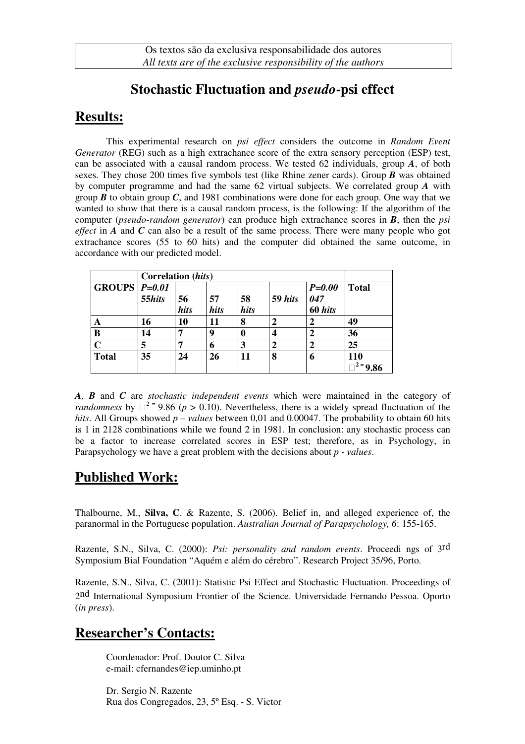## **Stochastic Fluctuation and** *pseudo***-psi effect**

## **Results:**

This experimental research on *psi effect* considers the outcome in *Random Event Generator* (REG) such as a high extrachance score of the extra sensory perception (ESP) test, can be associated with a causal random process. We tested 62 individuals, group *A*, of both sexes. They chose 200 times five symbols test (like Rhine zener cards). Group *B* was obtained by computer programme and had the same 62 virtual subjects. We correlated group *A* with group  $\bm{B}$  to obtain group  $\bm{C}$ , and 1981 combinations were done for each group. One way that we wanted to show that there is a causal random process, is the following: If the algorithm of the computer (*pseudo-random generator*) can produce high extrachance scores in *B*, then the *psi effect* in *A* and *C* can also be a result of the same process. There were many people who got extrachance scores (55 to 60 hits) and the computer did obtained the same outcome, in accordance with our predicted model.

|                 | Correlation (hits) |            |            |            |         |                              |                   |
|-----------------|--------------------|------------|------------|------------|---------|------------------------------|-------------------|
| GROUPS $P=0.01$ | 55hits             | 56<br>hits | 57<br>hits | 58<br>hits | 59 hits | $P = 0.00$<br>047<br>60 hits | <b>Total</b>      |
| A               | 16                 | 10         | 11         | 8          |         | ∍                            | 49                |
| B               | 14                 | 7          | 9          | 0          |         |                              | 36                |
| $\mathbf C$     |                    | 7          | 6          | 3          |         |                              | 25                |
| <b>Total</b>    | 35                 | 24         | 26         | 11         | 8       | 6                            | 110<br>$2 = 9.86$ |

*A, B* and *C* are *stochastic independent events* which were maintained in the category of *randomness* by  $2 = 9.86$  ( $p > 0.10$ ). Nevertheless, there is a widely spread fluctuation of the *hits*. All Groups showed *p – values* between 0,01 and 0.00047. The probability to obtain 60 hits is 1 in 2128 combinations while we found 2 in 1981. In conclusion: any stochastic process can be a factor to increase correlated scores in ESP test; therefore, as in Psychology, in Parapsychology we have a great problem with the decisions about *p - values*.

## **Published Work:**

Thalbourne, M., **Silva, C**. & Razente, S. (2006). Belief in, and alleged experience of, the paranormal in the Portuguese population. *Australian Journal of Parapsychology, 6*: 155-165.

Razente, S.N., Silva, C. (2000): *Psi: personality and random events*. Proceedi ngs of 3rd Symposium Bial Foundation "Aquém e além do cérebro". Research Project 35/96, Porto.

Razente, S.N., Silva, C. (2001): Statistic Psi Effect and Stochastic Fluctuation. Proceedings of 2nd International Symposium Frontier of the Science. Universidade Fernando Pessoa. Oporto (*in press*).

## **Researcher's Contacts:**

Coordenador: Prof. Doutor C. Silva e-mail: cfernandes@iep.uminho.pt

Dr. Sergio N. Razente Rua dos Congregados, 23, 5º Esq. - S. Victor